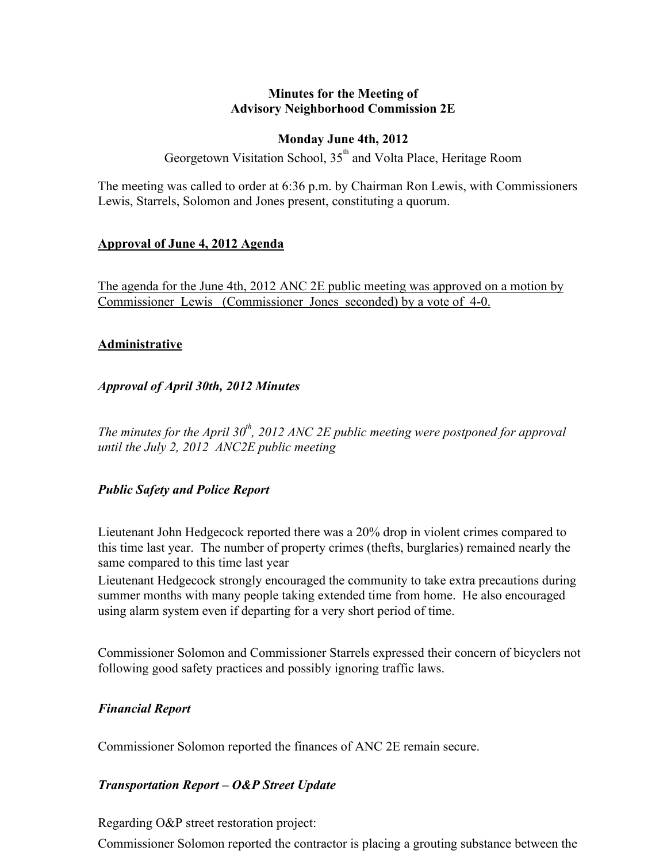## **Minutes for the Meeting of Advisory Neighborhood Commission 2E**

## **Monday June 4th, 2012**

Georgetown Visitation School, 35<sup>th</sup> and Volta Place, Heritage Room

The meeting was called to order at 6:36 p.m. by Chairman Ron Lewis, with Commissioners Lewis, Starrels, Solomon and Jones present, constituting a quorum.

## **Approval of June 4, 2012 Agenda**

The agenda for the June 4th, 2012 ANC 2E public meeting was approved on a motion by Commissioner Lewis (Commissioner Jones seconded) by a vote of 4-0.

#### **Administrative**

## *Approval of April 30th, 2012 Minutes*

*The minutes for the April 30th, 2012 ANC 2E public meeting were postponed for approval until the July 2, 2012 ANC2E public meeting*

## *Public Safety and Police Report*

Lieutenant John Hedgecock reported there was a 20% drop in violent crimes compared to this time last year. The number of property crimes (thefts, burglaries) remained nearly the same compared to this time last year

Lieutenant Hedgecock strongly encouraged the community to take extra precautions during summer months with many people taking extended time from home. He also encouraged using alarm system even if departing for a very short period of time.

Commissioner Solomon and Commissioner Starrels expressed their concern of bicyclers not following good safety practices and possibly ignoring traffic laws.

## *Financial Report*

Commissioner Solomon reported the finances of ANC 2E remain secure.

## *Transportation Report – O&P Street Update*

Regarding O&P street restoration project:

Commissioner Solomon reported the contractor is placing a grouting substance between the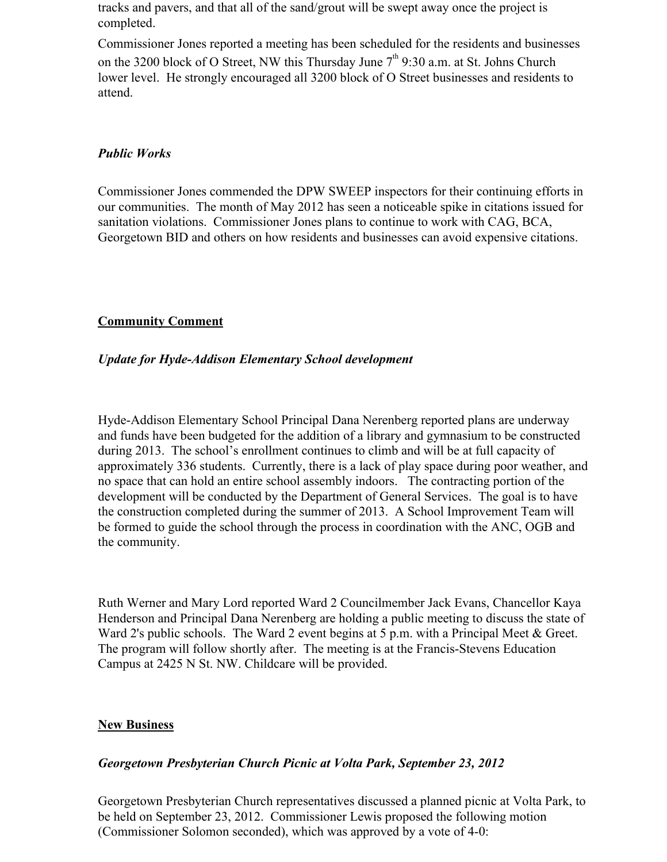tracks and pavers, and that all of the sand/grout will be swept away once the project is completed.

Commissioner Jones reported a meeting has been scheduled for the residents and businesses on the 3200 block of O Street, NW this Thursday June  $7<sup>th</sup>$  9:30 a.m. at St. Johns Church lower level. He strongly encouraged all 3200 block of O Street businesses and residents to attend.

#### *Public Works*

Commissioner Jones commended the DPW SWEEP inspectors for their continuing efforts in our communities. The month of May 2012 has seen a noticeable spike in citations issued for sanitation violations. Commissioner Jones plans to continue to work with CAG, BCA, Georgetown BID and others on how residents and businesses can avoid expensive citations.

#### **Community Comment**

#### *Update for Hyde-Addison Elementary School development*

Hyde-Addison Elementary School Principal Dana Nerenberg reported plans are underway and funds have been budgeted for the addition of a library and gymnasium to be constructed during 2013. The school's enrollment continues to climb and will be at full capacity of approximately 336 students. Currently, there is a lack of play space during poor weather, and no space that can hold an entire school assembly indoors. The contracting portion of the development will be conducted by the Department of General Services. The goal is to have the construction completed during the summer of 2013. A School Improvement Team will be formed to guide the school through the process in coordination with the ANC, OGB and the community.

Ruth Werner and Mary Lord reported Ward 2 Councilmember Jack Evans, Chancellor Kaya Henderson and Principal Dana Nerenberg are holding a public meeting to discuss the state of Ward 2's public schools. The Ward 2 event begins at 5 p.m. with a Principal Meet & Greet. The program will follow shortly after. The meeting is at the Francis-Stevens Education Campus at 2425 N St. NW. Childcare will be provided.

#### **New Business**

#### *Georgetown Presbyterian Church Picnic at Volta Park, September 23, 2012*

Georgetown Presbyterian Church representatives discussed a planned picnic at Volta Park, to be held on September 23, 2012. Commissioner Lewis proposed the following motion (Commissioner Solomon seconded), which was approved by a vote of 4-0: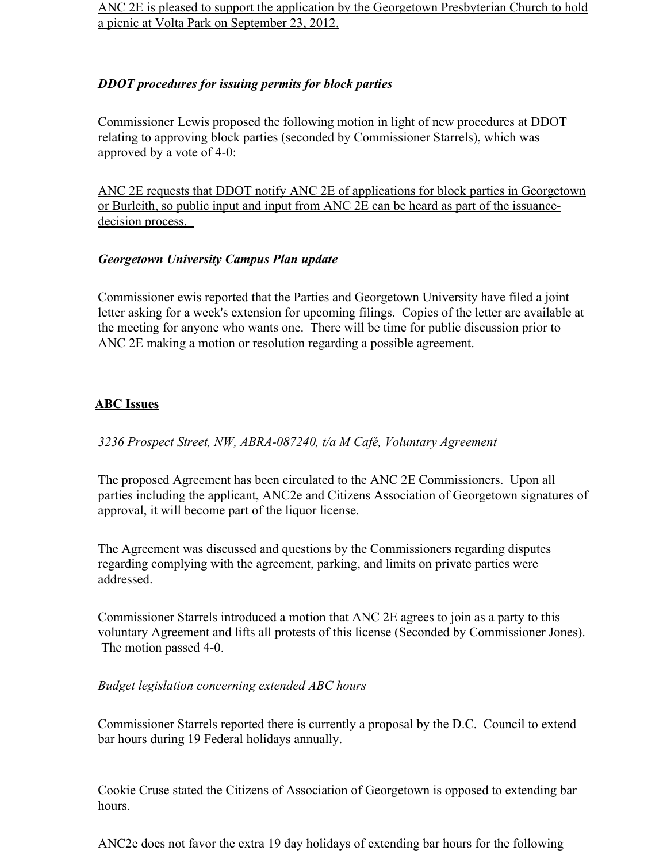ANC 2E is pleased to support the application by the Georgetown Presbyterian Church to hold a picnic at Volta Park on September 23, 2012.

## *DDOT procedures for issuing permits for block parties*

Commissioner Lewis proposed the following motion in light of new procedures at DDOT relating to approving block parties (seconded by Commissioner Starrels), which was approved by a vote of 4-0:

ANC 2E requests that DDOT notify ANC 2E of applications for block parties in Georgetown or Burleith, so public input and input from ANC 2E can be heard as part of the issuancedecision process.

## *Georgetown University Campus Plan update*

Commissioner ewis reported that the Parties and Georgetown University have filed a joint letter asking for a week's extension for upcoming filings. Copies of the letter are available at the meeting for anyone who wants one. There will be time for public discussion prior to ANC 2E making a motion or resolution regarding a possible agreement.

## **ABC Issues**

*3236 Prospect Street, NW, ABRA-087240, t/a M Café, Voluntary Agreement*

The proposed Agreement has been circulated to the ANC 2E Commissioners. Upon all parties including the applicant, ANC2e and Citizens Association of Georgetown signatures of approval, it will become part of the liquor license.

The Agreement was discussed and questions by the Commissioners regarding disputes regarding complying with the agreement, parking, and limits on private parties were addressed.

Commissioner Starrels introduced a motion that ANC 2E agrees to join as a party to this voluntary Agreement and lifts all protests of this license (Seconded by Commissioner Jones). The motion passed 4-0.

## *Budget legislation concerning extended ABC hours*

Commissioner Starrels reported there is currently a proposal by the D.C. Council to extend bar hours during 19 Federal holidays annually.

Cookie Cruse stated the Citizens of Association of Georgetown is opposed to extending bar hours.

ANC2e does not favor the extra 19 day holidays of extending bar hours for the following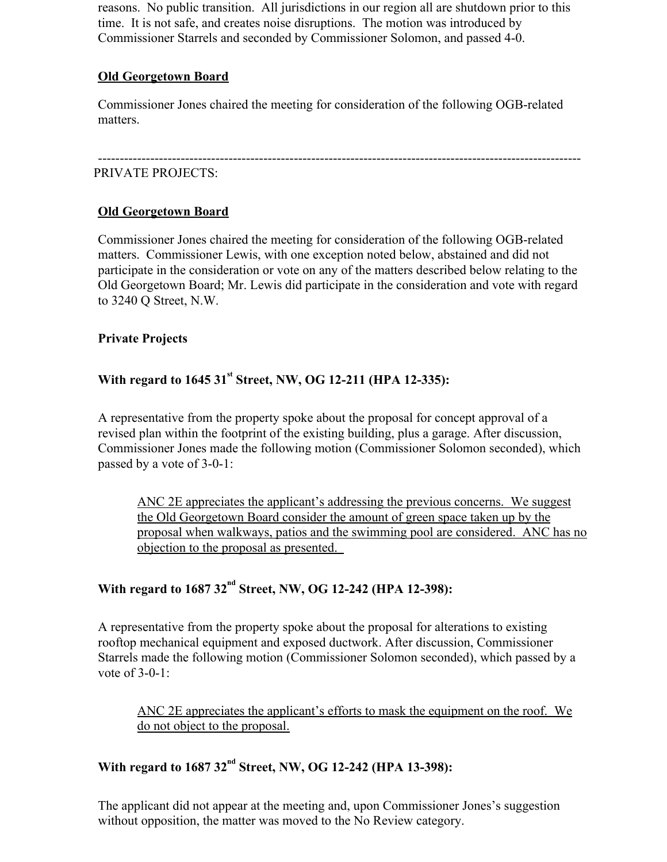reasons. No public transition. All jurisdictions in our region all are shutdown prior to this time. It is not safe, and creates noise disruptions. The motion was introduced by Commissioner Starrels and seconded by Commissioner Solomon, and passed 4-0.

## **Old Georgetown Board**

Commissioner Jones chaired the meeting for consideration of the following OGB-related matters.

#### --------------------------------------------------------------------------------------------------------------- PRIVATE PROJECTS:

## **Old Georgetown Board**

Commissioner Jones chaired the meeting for consideration of the following OGB-related matters. Commissioner Lewis, with one exception noted below, abstained and did not participate in the consideration or vote on any of the matters described below relating to the Old Georgetown Board; Mr. Lewis did participate in the consideration and vote with regard to 3240 Q Street, N.W.

## **Private Projects**

## With regard to 1645 31<sup>st</sup> Street, NW, OG 12-211 (HPA 12-335):

A representative from the property spoke about the proposal for concept approval of a revised plan within the footprint of the existing building, plus a garage. After discussion, Commissioner Jones made the following motion (Commissioner Solomon seconded), which passed by a vote of 3-0-1:

ANC 2E appreciates the applicant's addressing the previous concerns. We suggest the Old Georgetown Board consider the amount of green space taken up by the proposal when walkways, patios and the swimming pool are considered. ANC has no objection to the proposal as presented.

## With regard to 1687 32<sup>nd</sup> Street, NW, OG 12-242 (HPA 12-398):

A representative from the property spoke about the proposal for alterations to existing rooftop mechanical equipment and exposed ductwork. After discussion, Commissioner Starrels made the following motion (Commissioner Solomon seconded), which passed by a vote of  $3-0-1$ :

ANC 2E appreciates the applicant's efforts to mask the equipment on the roof. We do not object to the proposal.

## With regard to 1687 32<sup>nd</sup> Street, NW, OG 12-242 (HPA 13-398):

The applicant did not appear at the meeting and, upon Commissioner Jones's suggestion without opposition, the matter was moved to the No Review category.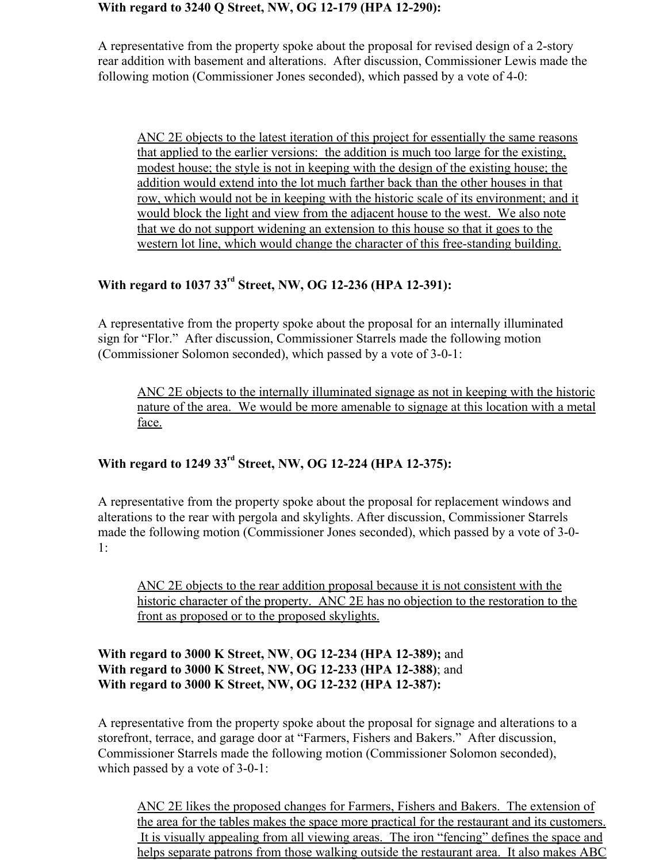#### **With regard to 3240 Q Street, NW, OG 12-179 (HPA 12-290):**

A representative from the property spoke about the proposal for revised design of a 2-story rear addition with basement and alterations. After discussion, Commissioner Lewis made the following motion (Commissioner Jones seconded), which passed by a vote of 4-0:

ANC 2E objects to the latest iteration of this project for essentially the same reasons that applied to the earlier versions: the addition is much too large for the existing, modest house; the style is not in keeping with the design of the existing house; the addition would extend into the lot much farther back than the other houses in that row, which would not be in keeping with the historic scale of its environment; and it would block the light and view from the adjacent house to the west. We also note that we do not support widening an extension to this house so that it goes to the western lot line, which would change the character of this free-standing building.

# **With regard to 1037 33rd Street, NW, OG 12-236 (HPA 12-391):**

A representative from the property spoke about the proposal for an internally illuminated sign for "Flor." After discussion, Commissioner Starrels made the following motion (Commissioner Solomon seconded), which passed by a vote of 3-0-1:

ANC 2E objects to the internally illuminated signage as not in keeping with the historic nature of the area. We would be more amenable to signage at this location with a metal face.

## **With regard to 1249 33rd Street, NW, OG 12-224 (HPA 12-375):**

A representative from the property spoke about the proposal for replacement windows and alterations to the rear with pergola and skylights. After discussion, Commissioner Starrels made the following motion (Commissioner Jones seconded), which passed by a vote of 3-0- 1:

ANC 2E objects to the rear addition proposal because it is not consistent with the historic character of the property. ANC 2E has no objection to the restoration to the front as proposed or to the proposed skylights.

## **With regard to 3000 K Street, NW**, **OG 12-234 (HPA 12-389);** and **With regard to 3000 K Street, NW, OG 12-233 (HPA 12-388)**; and **With regard to 3000 K Street, NW, OG 12-232 (HPA 12-387):**

A representative from the property spoke about the proposal for signage and alterations to a storefront, terrace, and garage door at "Farmers, Fishers and Bakers." After discussion, Commissioner Starrels made the following motion (Commissioner Solomon seconded), which passed by a vote of 3-0-1:

ANC 2E likes the proposed changes for Farmers, Fishers and Bakers. The extension of the area for the tables makes the space more practical for the restaurant and its customers. It is visually appealing from all viewing areas. The iron "fencing" defines the space and helps separate patrons from those walking outside the restaurant area. It also makes ABC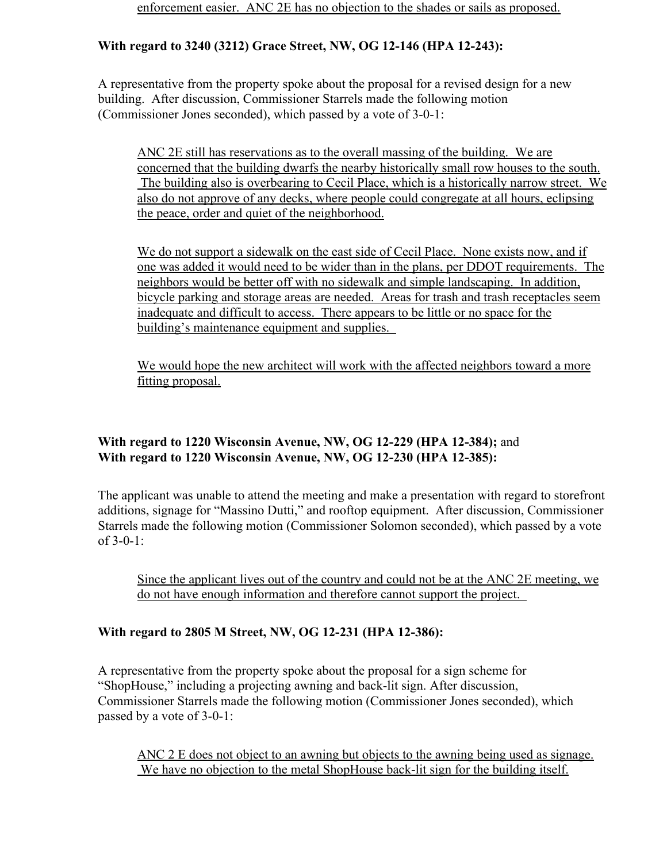## **With regard to 3240 (3212) Grace Street, NW, OG 12-146 (HPA 12-243):**

A representative from the property spoke about the proposal for a revised design for a new building. After discussion, Commissioner Starrels made the following motion (Commissioner Jones seconded), which passed by a vote of 3-0-1:

ANC 2E still has reservations as to the overall massing of the building. We are concerned that the building dwarfs the nearby historically small row houses to the south. The building also is overbearing to Cecil Place, which is a historically narrow street. We also do not approve of any decks, where people could congregate at all hours, eclipsing the peace, order and quiet of the neighborhood.

We do not support a sidewalk on the east side of Cecil Place. None exists now, and if one was added it would need to be wider than in the plans, per DDOT requirements. The neighbors would be better off with no sidewalk and simple landscaping. In addition, bicycle parking and storage areas are needed. Areas for trash and trash receptacles seem inadequate and difficult to access. There appears to be little or no space for the building's maintenance equipment and supplies.

We would hope the new architect will work with the affected neighbors toward a more fitting proposal.

## **With regard to 1220 Wisconsin Avenue, NW, OG 12-229 (HPA 12-384);** and **With regard to 1220 Wisconsin Avenue, NW, OG 12-230 (HPA 12-385):**

The applicant was unable to attend the meeting and make a presentation with regard to storefront additions, signage for "Massino Dutti," and rooftop equipment. After discussion, Commissioner Starrels made the following motion (Commissioner Solomon seconded), which passed by a vote of 3-0-1:

Since the applicant lives out of the country and could not be at the ANC 2E meeting, we do not have enough information and therefore cannot support the project.

## **With regard to 2805 M Street, NW, OG 12-231 (HPA 12-386):**

A representative from the property spoke about the proposal for a sign scheme for "ShopHouse," including a projecting awning and back-lit sign. After discussion, Commissioner Starrels made the following motion (Commissioner Jones seconded), which passed by a vote of 3-0-1:

ANC 2 E does not object to an awning but objects to the awning being used as signage. We have no objection to the metal ShopHouse back-lit sign for the building itself.